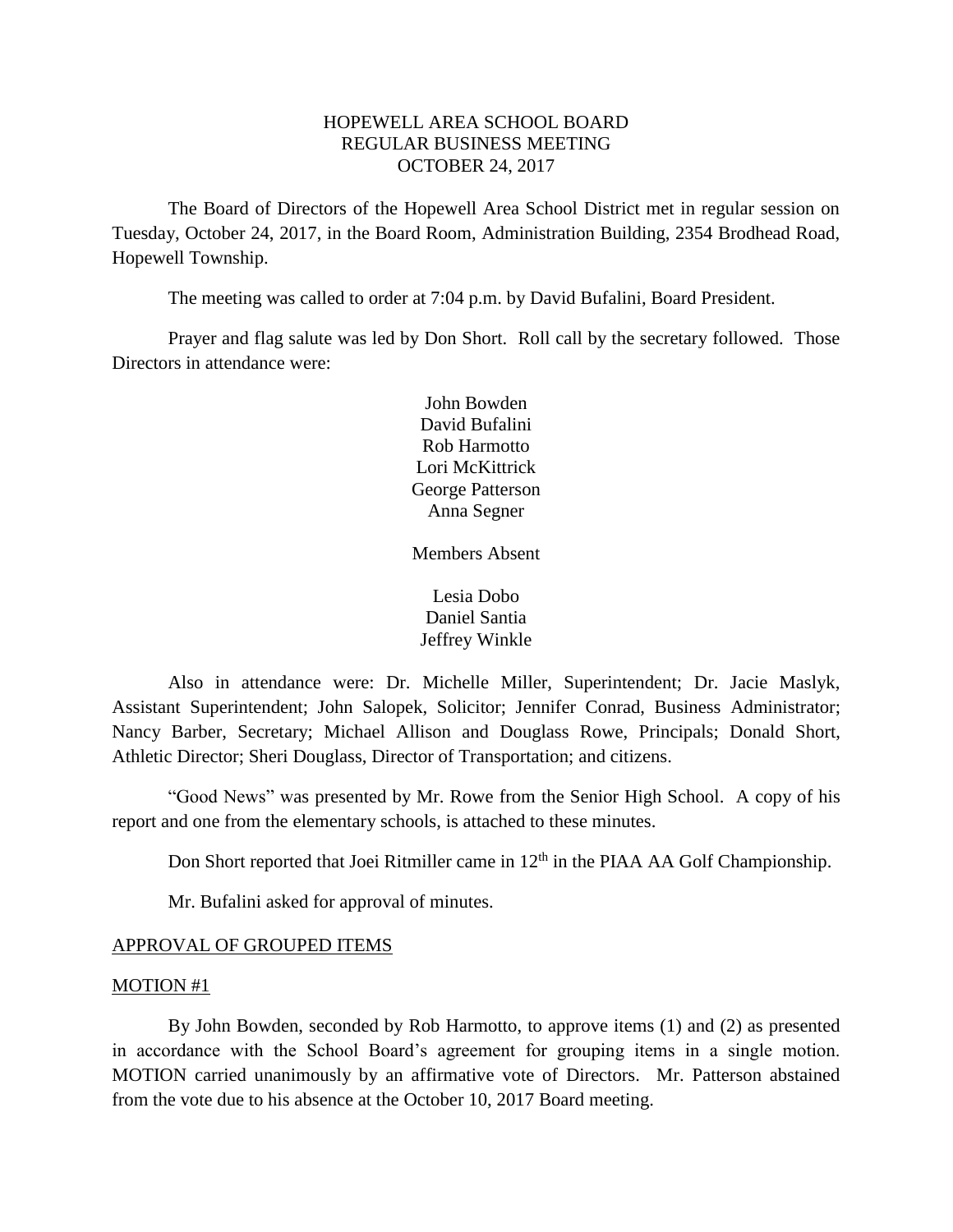# HOPEWELL AREA SCHOOL BOARD REGULAR BUSINESS MEETING OCTOBER 24, 2017

The Board of Directors of the Hopewell Area School District met in regular session on Tuesday, October 24, 2017, in the Board Room, Administration Building, 2354 Brodhead Road, Hopewell Township.

The meeting was called to order at 7:04 p.m. by David Bufalini, Board President.

Prayer and flag salute was led by Don Short. Roll call by the secretary followed. Those Directors in attendance were:

> John Bowden David Bufalini Rob Harmotto Lori McKittrick George Patterson Anna Segner

> Members Absent

Lesia Dobo Daniel Santia Jeffrey Winkle

Also in attendance were: Dr. Michelle Miller, Superintendent; Dr. Jacie Maslyk, Assistant Superintendent; John Salopek, Solicitor; Jennifer Conrad, Business Administrator; Nancy Barber, Secretary; Michael Allison and Douglass Rowe, Principals; Donald Short, Athletic Director; Sheri Douglass, Director of Transportation; and citizens.

"Good News" was presented by Mr. Rowe from the Senior High School. A copy of his report and one from the elementary schools, is attached to these minutes.

Don Short reported that Joei Ritmiller came in  $12<sup>th</sup>$  in the PIAA AA Golf Championship.

Mr. Bufalini asked for approval of minutes.

#### APPROVAL OF GROUPED ITEMS

#### MOTION #1

By John Bowden, seconded by Rob Harmotto, to approve items (1) and (2) as presented in accordance with the School Board's agreement for grouping items in a single motion. MOTION carried unanimously by an affirmative vote of Directors. Mr. Patterson abstained from the vote due to his absence at the October 10, 2017 Board meeting.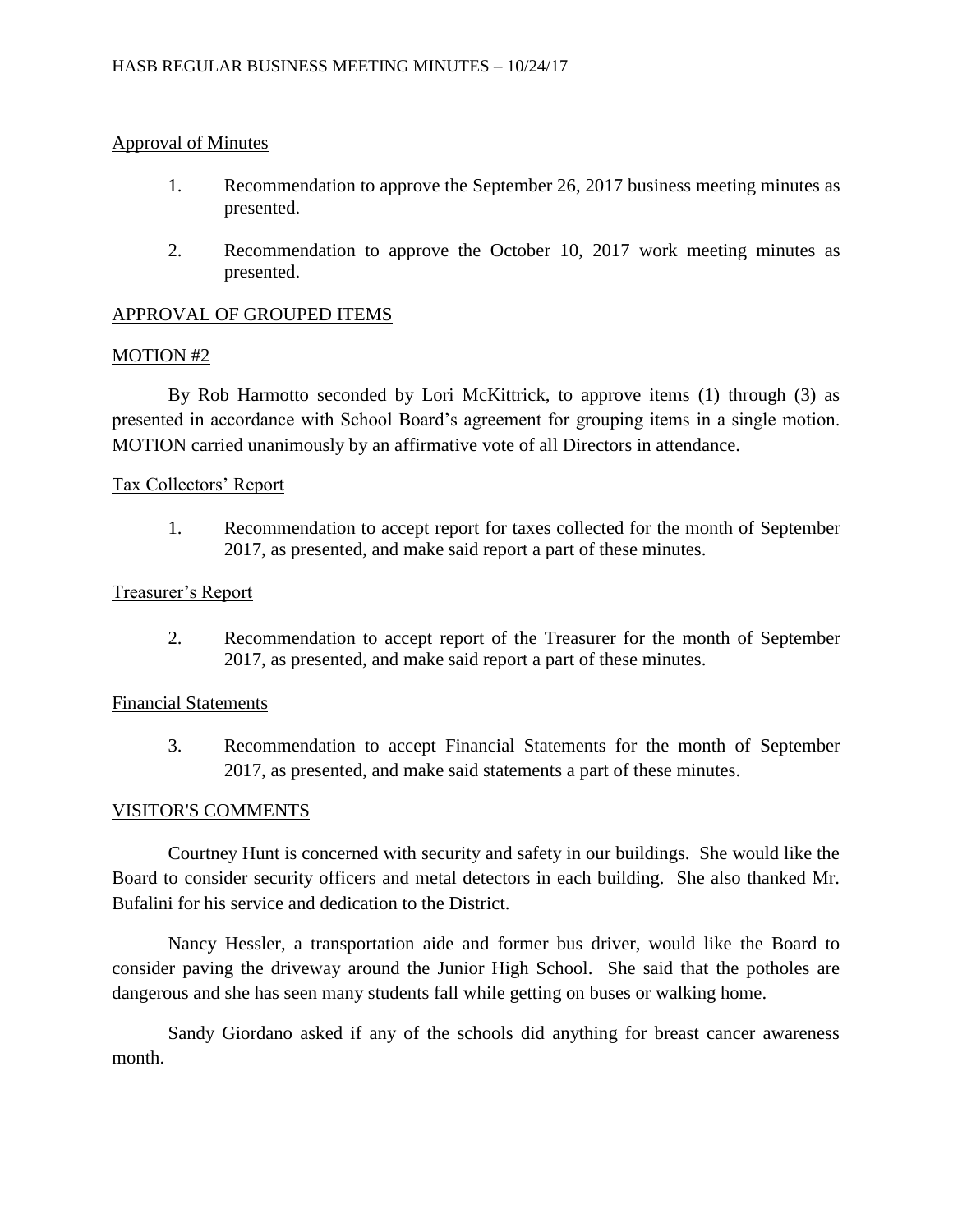# Approval of Minutes

- 1. Recommendation to approve the September 26, 2017 business meeting minutes as presented.
- 2. Recommendation to approve the October 10, 2017 work meeting minutes as presented.

# APPROVAL OF GROUPED ITEMS

## MOTION #2

By Rob Harmotto seconded by Lori McKittrick, to approve items (1) through (3) as presented in accordance with School Board's agreement for grouping items in a single motion. MOTION carried unanimously by an affirmative vote of all Directors in attendance.

## Tax Collectors' Report

1. Recommendation to accept report for taxes collected for the month of September 2017, as presented, and make said report a part of these minutes.

## Treasurer's Report

2. Recommendation to accept report of the Treasurer for the month of September 2017, as presented, and make said report a part of these minutes.

## Financial Statements

3. Recommendation to accept Financial Statements for the month of September 2017, as presented, and make said statements a part of these minutes.

# VISITOR'S COMMENTS

Courtney Hunt is concerned with security and safety in our buildings. She would like the Board to consider security officers and metal detectors in each building. She also thanked Mr. Bufalini for his service and dedication to the District.

Nancy Hessler, a transportation aide and former bus driver, would like the Board to consider paving the driveway around the Junior High School. She said that the potholes are dangerous and she has seen many students fall while getting on buses or walking home.

Sandy Giordano asked if any of the schools did anything for breast cancer awareness month.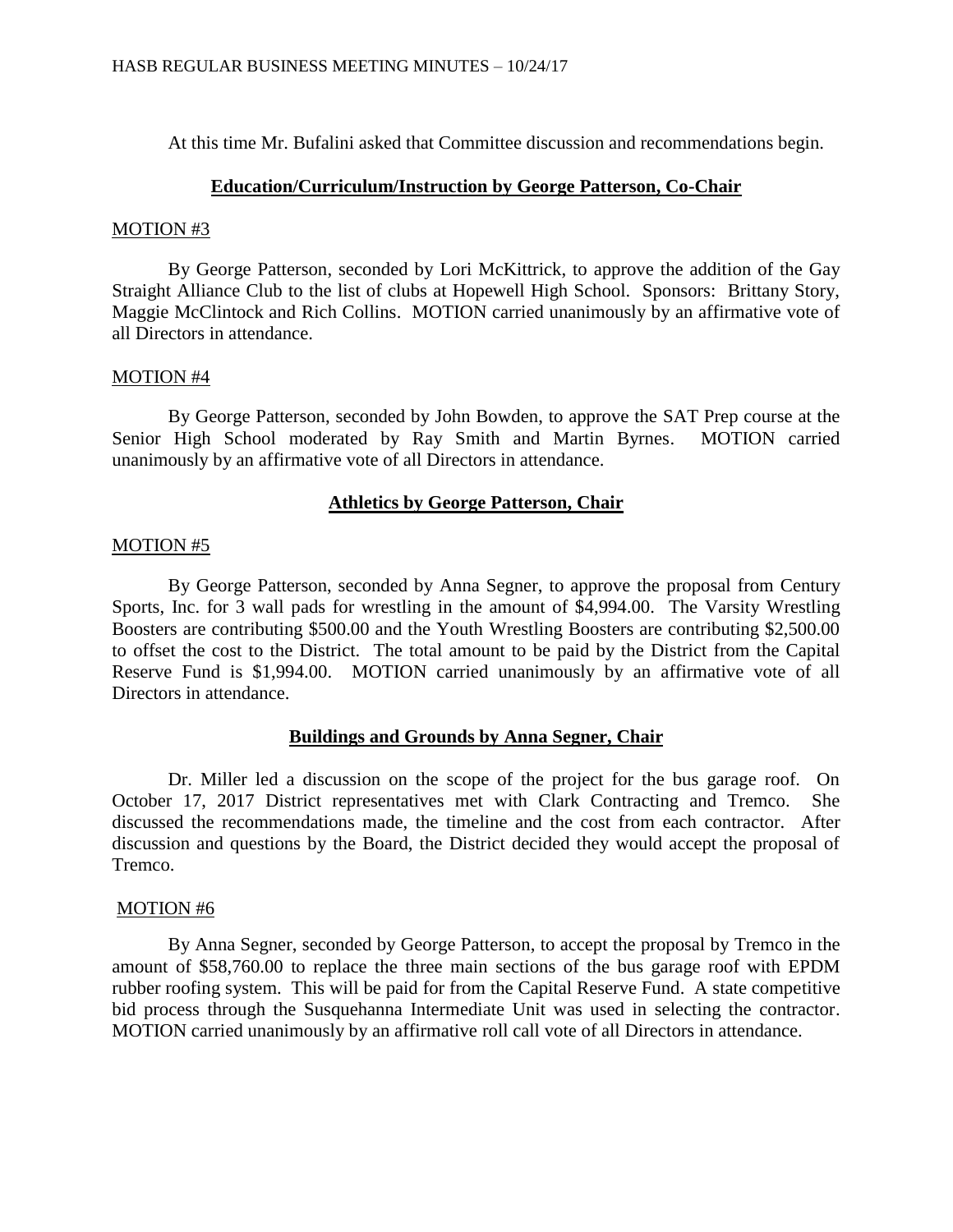At this time Mr. Bufalini asked that Committee discussion and recommendations begin.

### **Education/Curriculum/Instruction by George Patterson, Co-Chair**

### MOTION #3

By George Patterson, seconded by Lori McKittrick, to approve the addition of the Gay Straight Alliance Club to the list of clubs at Hopewell High School. Sponsors: Brittany Story, Maggie McClintock and Rich Collins. MOTION carried unanimously by an affirmative vote of all Directors in attendance.

## MOTION #4

By George Patterson, seconded by John Bowden, to approve the SAT Prep course at the Senior High School moderated by Ray Smith and Martin Byrnes. MOTION carried unanimously by an affirmative vote of all Directors in attendance.

# **Athletics by George Patterson, Chair**

## MOTION #5

By George Patterson, seconded by Anna Segner, to approve the proposal from Century Sports, Inc. for 3 wall pads for wrestling in the amount of \$4,994.00. The Varsity Wrestling Boosters are contributing \$500.00 and the Youth Wrestling Boosters are contributing \$2,500.00 to offset the cost to the District. The total amount to be paid by the District from the Capital Reserve Fund is \$1,994.00. MOTION carried unanimously by an affirmative vote of all Directors in attendance.

# **Buildings and Grounds by Anna Segner, Chair**

Dr. Miller led a discussion on the scope of the project for the bus garage roof. On October 17, 2017 District representatives met with Clark Contracting and Tremco. She discussed the recommendations made, the timeline and the cost from each contractor. After discussion and questions by the Board, the District decided they would accept the proposal of Tremco.

### MOTION #6

By Anna Segner, seconded by George Patterson, to accept the proposal by Tremco in the amount of \$58,760.00 to replace the three main sections of the bus garage roof with EPDM rubber roofing system. This will be paid for from the Capital Reserve Fund. A state competitive bid process through the Susquehanna Intermediate Unit was used in selecting the contractor. MOTION carried unanimously by an affirmative roll call vote of all Directors in attendance.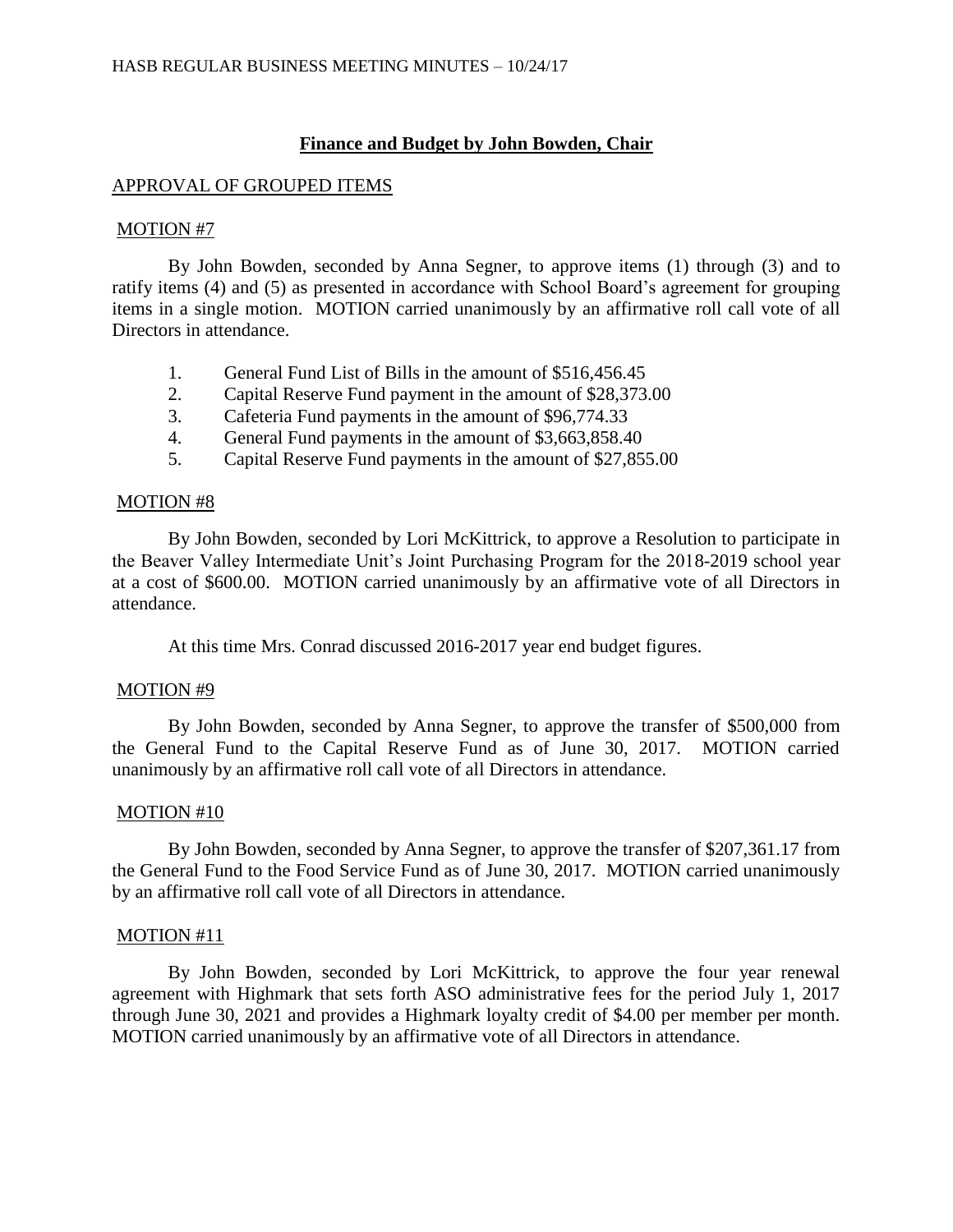## **Finance and Budget by John Bowden, Chair**

## APPROVAL OF GROUPED ITEMS

#### MOTION #7

By John Bowden, seconded by Anna Segner, to approve items (1) through (3) and to ratify items (4) and (5) as presented in accordance with School Board's agreement for grouping items in a single motion. MOTION carried unanimously by an affirmative roll call vote of all Directors in attendance.

- 1. General Fund List of Bills in the amount of \$516,456.45
- 2. Capital Reserve Fund payment in the amount of \$28,373.00
- 3. Cafeteria Fund payments in the amount of \$96,774.33
- 4. General Fund payments in the amount of \$3,663,858.40
- 5. Capital Reserve Fund payments in the amount of \$27,855.00

### MOTION #8

By John Bowden, seconded by Lori McKittrick, to approve a Resolution to participate in the Beaver Valley Intermediate Unit's Joint Purchasing Program for the 2018-2019 school year at a cost of \$600.00. MOTION carried unanimously by an affirmative vote of all Directors in attendance.

At this time Mrs. Conrad discussed 2016-2017 year end budget figures.

### MOTION #9

By John Bowden, seconded by Anna Segner, to approve the transfer of \$500,000 from the General Fund to the Capital Reserve Fund as of June 30, 2017. MOTION carried unanimously by an affirmative roll call vote of all Directors in attendance.

### MOTION #10

By John Bowden, seconded by Anna Segner, to approve the transfer of \$207,361.17 from the General Fund to the Food Service Fund as of June 30, 2017. MOTION carried unanimously by an affirmative roll call vote of all Directors in attendance.

### MOTION #11

By John Bowden, seconded by Lori McKittrick, to approve the four year renewal agreement with Highmark that sets forth ASO administrative fees for the period July 1, 2017 through June 30, 2021 and provides a Highmark loyalty credit of \$4.00 per member per month. MOTION carried unanimously by an affirmative vote of all Directors in attendance.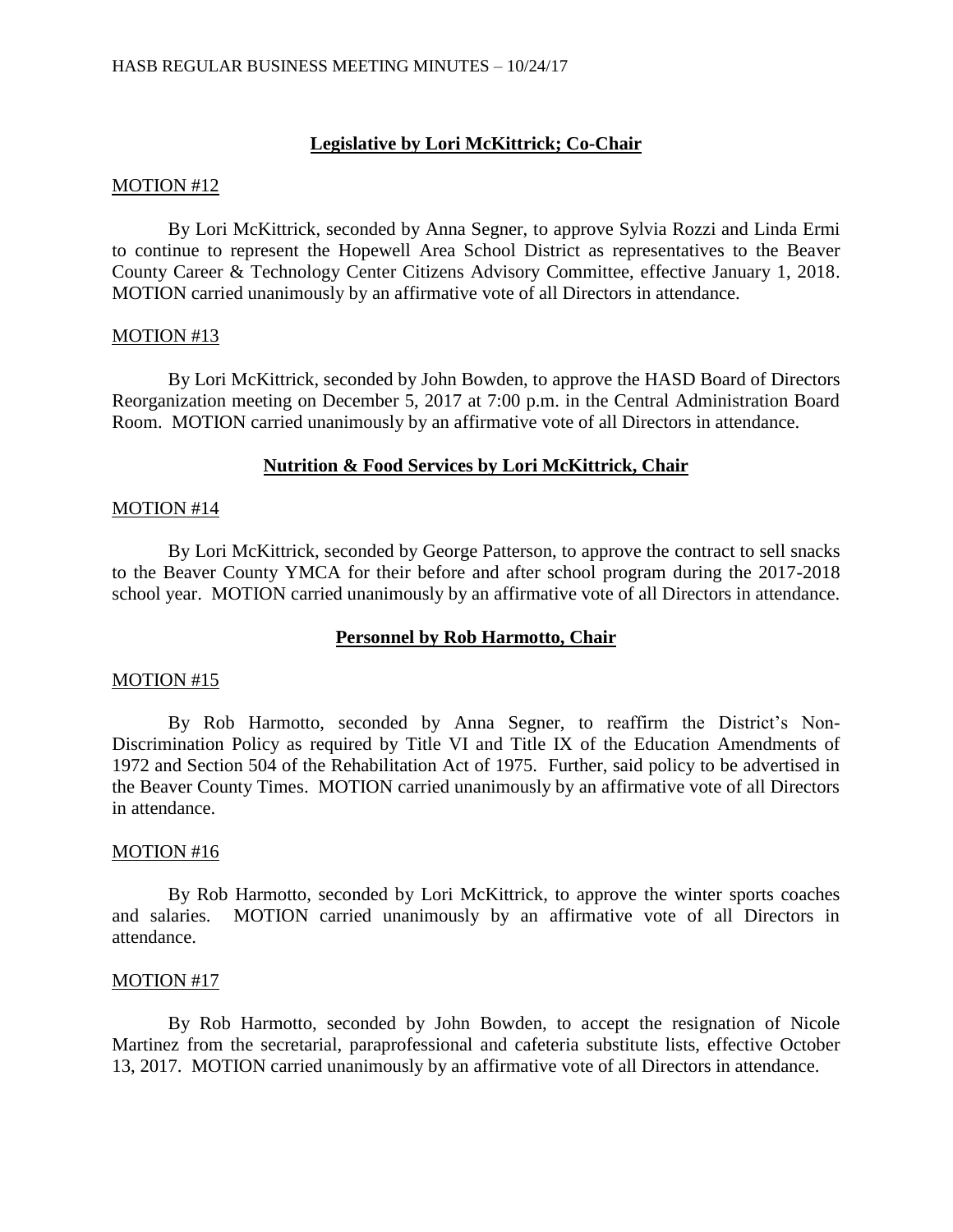# **Legislative by Lori McKittrick; Co-Chair**

### MOTION #12

By Lori McKittrick, seconded by Anna Segner, to approve Sylvia Rozzi and Linda Ermi to continue to represent the Hopewell Area School District as representatives to the Beaver County Career & Technology Center Citizens Advisory Committee, effective January 1, 2018. MOTION carried unanimously by an affirmative vote of all Directors in attendance.

#### MOTION #13

By Lori McKittrick, seconded by John Bowden, to approve the HASD Board of Directors Reorganization meeting on December 5, 2017 at 7:00 p.m. in the Central Administration Board Room. MOTION carried unanimously by an affirmative vote of all Directors in attendance.

## **Nutrition & Food Services by Lori McKittrick, Chair**

#### MOTION #14

By Lori McKittrick, seconded by George Patterson, to approve the contract to sell snacks to the Beaver County YMCA for their before and after school program during the 2017-2018 school year. MOTION carried unanimously by an affirmative vote of all Directors in attendance.

### **Personnel by Rob Harmotto, Chair**

#### MOTION #15

By Rob Harmotto, seconded by Anna Segner, to reaffirm the District's Non-Discrimination Policy as required by Title VI and Title IX of the Education Amendments of 1972 and Section 504 of the Rehabilitation Act of 1975. Further, said policy to be advertised in the Beaver County Times. MOTION carried unanimously by an affirmative vote of all Directors in attendance.

### MOTION #16

By Rob Harmotto, seconded by Lori McKittrick, to approve the winter sports coaches and salaries. MOTION carried unanimously by an affirmative vote of all Directors in attendance.

#### MOTION #17

By Rob Harmotto, seconded by John Bowden, to accept the resignation of Nicole Martinez from the secretarial, paraprofessional and cafeteria substitute lists, effective October 13, 2017. MOTION carried unanimously by an affirmative vote of all Directors in attendance.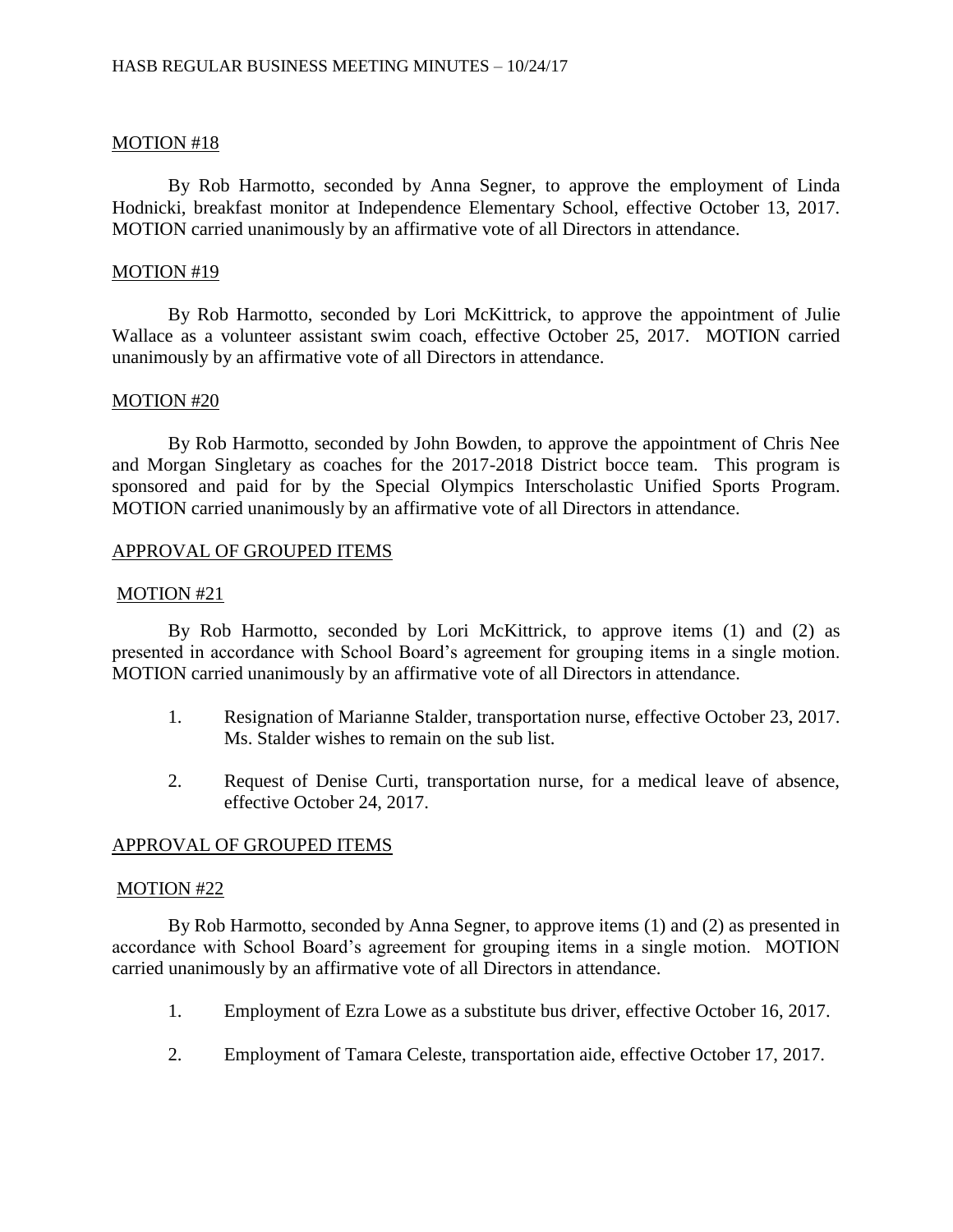### MOTION #18

By Rob Harmotto, seconded by Anna Segner, to approve the employment of Linda Hodnicki, breakfast monitor at Independence Elementary School, effective October 13, 2017. MOTION carried unanimously by an affirmative vote of all Directors in attendance.

#### MOTION #19

By Rob Harmotto, seconded by Lori McKittrick, to approve the appointment of Julie Wallace as a volunteer assistant swim coach, effective October 25, 2017. MOTION carried unanimously by an affirmative vote of all Directors in attendance.

#### MOTION #20

By Rob Harmotto, seconded by John Bowden, to approve the appointment of Chris Nee and Morgan Singletary as coaches for the 2017-2018 District bocce team. This program is sponsored and paid for by the Special Olympics Interscholastic Unified Sports Program. MOTION carried unanimously by an affirmative vote of all Directors in attendance.

### APPROVAL OF GROUPED ITEMS

#### MOTION #21

By Rob Harmotto, seconded by Lori McKittrick, to approve items (1) and (2) as presented in accordance with School Board's agreement for grouping items in a single motion. MOTION carried unanimously by an affirmative vote of all Directors in attendance.

- 1. Resignation of Marianne Stalder, transportation nurse, effective October 23, 2017. Ms. Stalder wishes to remain on the sub list.
- 2. Request of Denise Curti, transportation nurse, for a medical leave of absence, effective October 24, 2017.

### APPROVAL OF GROUPED ITEMS

#### MOTION #22

By Rob Harmotto, seconded by Anna Segner, to approve items (1) and (2) as presented in accordance with School Board's agreement for grouping items in a single motion. MOTION carried unanimously by an affirmative vote of all Directors in attendance.

- 1. Employment of Ezra Lowe as a substitute bus driver, effective October 16, 2017.
- 2. Employment of Tamara Celeste, transportation aide, effective October 17, 2017.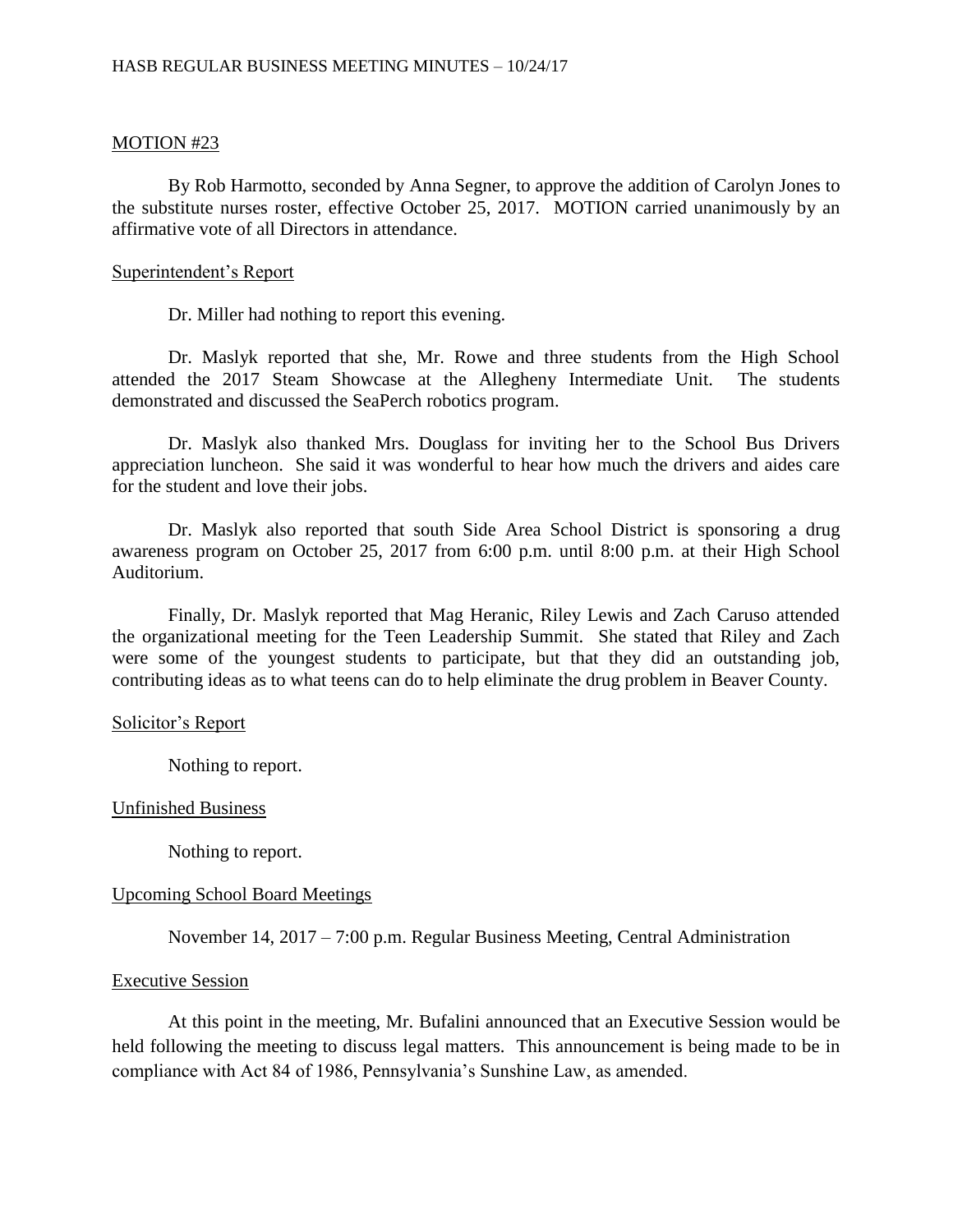### MOTION #23

By Rob Harmotto, seconded by Anna Segner, to approve the addition of Carolyn Jones to the substitute nurses roster, effective October 25, 2017. MOTION carried unanimously by an affirmative vote of all Directors in attendance.

#### Superintendent's Report

Dr. Miller had nothing to report this evening.

Dr. Maslyk reported that she, Mr. Rowe and three students from the High School attended the 2017 Steam Showcase at the Allegheny Intermediate Unit. The students demonstrated and discussed the SeaPerch robotics program.

Dr. Maslyk also thanked Mrs. Douglass for inviting her to the School Bus Drivers appreciation luncheon. She said it was wonderful to hear how much the drivers and aides care for the student and love their jobs.

Dr. Maslyk also reported that south Side Area School District is sponsoring a drug awareness program on October 25, 2017 from 6:00 p.m. until 8:00 p.m. at their High School Auditorium.

Finally, Dr. Maslyk reported that Mag Heranic, Riley Lewis and Zach Caruso attended the organizational meeting for the Teen Leadership Summit. She stated that Riley and Zach were some of the youngest students to participate, but that they did an outstanding job, contributing ideas as to what teens can do to help eliminate the drug problem in Beaver County.

#### Solicitor's Report

Nothing to report.

### Unfinished Business

Nothing to report.

### Upcoming School Board Meetings

November 14, 2017 – 7:00 p.m. Regular Business Meeting, Central Administration

#### Executive Session

At this point in the meeting, Mr. Bufalini announced that an Executive Session would be held following the meeting to discuss legal matters. This announcement is being made to be in compliance with Act 84 of 1986, Pennsylvania's Sunshine Law, as amended.